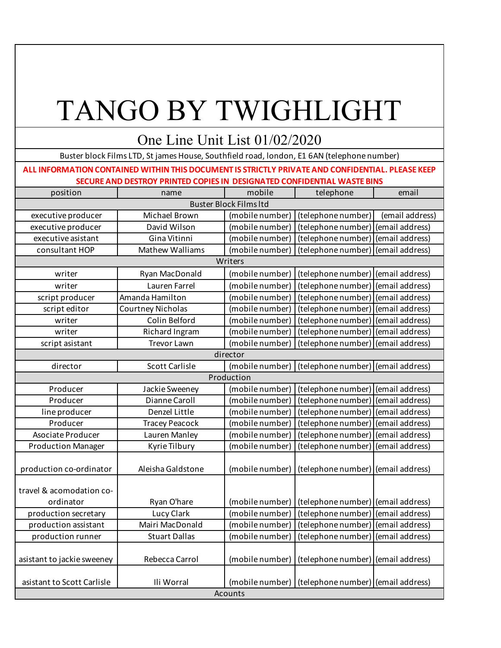## TANGO BY TWIGHLIGHT

## One Line Unit List 01/02/2020

Buster block Films LTD, St james House, Southfield road, london, E1 6AN (telephone number)

**ALL INFORMATION CONTAINED WITHIN THIS DOCUMENT IS STRICTLY PRIVATE AND CONFIDENTIAL. PLEASE KEEP SECURE AND DESTROY PRINTED COPIES IN DESIGNATED CONFIDENTIAL WASTE BINS** 

| position                      | name                     | mobile             | telephone                          | email           |  |
|-------------------------------|--------------------------|--------------------|------------------------------------|-----------------|--|
| <b>Buster Block Films Itd</b> |                          |                    |                                    |                 |  |
| executive producer            | Michael Brown            | (mobile number)    | (telephone number)                 | (email address) |  |
| executive producer            | David Wilson             | (mobile number)    | (telephone number)                 | (email address) |  |
| executive asistant            | Gina Vitinni             | (mobile number)    | (telephone number)                 | (email address) |  |
| consultant HOP                | <b>Mathew Walliams</b>   | (mobile number)    | (telephone number)                 | (email address) |  |
|                               |                          | Writers            |                                    |                 |  |
| writer                        | Ryan MacDonald           | (mobile number)    | (telephone number) (email address) |                 |  |
| writer                        | Lauren Farrel            | (mobile number)    | (telephone number)                 | (email address) |  |
| script producer               | Amanda Hamilton          | (mobile number)    | (telephone number)                 | (email address) |  |
| script editor                 | <b>Courtney Nicholas</b> | (mobile number)    | (telephone number)                 | (email address) |  |
| writer                        | Colin Belford            | (mobile number)    | (telephone number)                 | (email address) |  |
| writer                        | Richard Ingram           | (mobile number)    | (telephone number)                 | (email address) |  |
| script asistant               | <b>Trevor Lawn</b>       | (mobile number)    | (telephone number)                 | (email address) |  |
|                               |                          | director           |                                    |                 |  |
| director                      | <b>Scott Carlisle</b>    | (mobile number)    | (telephone number) (email address) |                 |  |
|                               |                          | Production         |                                    |                 |  |
| Producer                      | Jackie Sweeney           | $(m$ obile number) | (telephone number)                 | (email address) |  |
| Producer                      | Dianne Caroll            | (mobile number)    | (telephone number)                 | (email address) |  |
| line producer                 | Denzel Little            | (mobile number)    | (telephone number)                 | (email address) |  |
| Producer                      | <b>Tracey Peacock</b>    | (mobile number)    | (telephone number)                 | (email address) |  |
| Asociate Producer             | Lauren Manley            | (mobile number)    | (telephone number)                 | (email address) |  |
| <b>Production Manager</b>     | Kyrie Tilbury            | (mobile number)    | (telephone number)                 | (email address) |  |
|                               |                          |                    |                                    |                 |  |
| production co-ordinator       | Aleisha Galdstone        | (mobile number)    | (telephone number) (email address) |                 |  |
|                               |                          |                    |                                    |                 |  |
| travel & acomodation co-      |                          |                    |                                    |                 |  |
| ordinator                     | Ryan O'hare              | (mobile number)    | (telephone number) (email address) |                 |  |
| production secretary          | Lucy Clark               | (mobile number)    | (telephone number)                 | (email address) |  |
| production assistant          | Mairi MacDonald          | (mobile number)    | (telephone number)                 | (email address) |  |
| production runner             | <b>Stuart Dallas</b>     | (mobile number)    | (telephone number)                 | (email address) |  |
|                               |                          |                    |                                    |                 |  |
| asistant to jackie sweeney    | Rebecca Carrol           | (mobile number)    | (telephone number)                 | (email address) |  |
|                               |                          |                    |                                    |                 |  |
| asistant to Scott Carlisle    | Ili Worral               | (mobile number)    | (telephone number) (email address) |                 |  |
| Acounts                       |                          |                    |                                    |                 |  |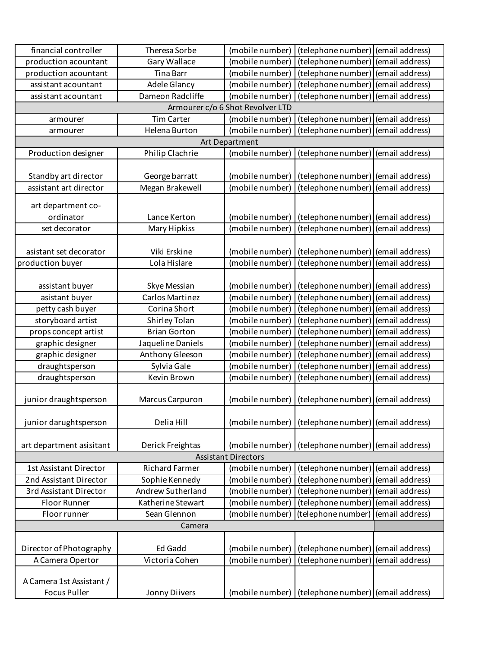| financial controller       | Theresa Sorbe         | (mobile number)                  | (telephone number) (email address) |                 |  |
|----------------------------|-----------------------|----------------------------------|------------------------------------|-----------------|--|
| production acountant       | Gary Wallace          | (mobile number)                  | (telephone number) (email address) |                 |  |
| production acountant       | <b>Tina Barr</b>      | (mobile number)                  | (telephone number) (email address) |                 |  |
| assistant acountant        | <b>Adele Glancy</b>   | (mobile number)                  | (telephone number) (email address) |                 |  |
| assistant acountant        | Dameon Radcliffe      | (mobile number)                  | (telephone number) (email address) |                 |  |
|                            |                       | Armourer c/o 6 Shot Revolver LTD |                                    |                 |  |
| armourer                   | <b>Tim Carter</b>     | (mobile number)                  | (telephone number) (email address) |                 |  |
| armourer                   | Helena Burton         | (mobile number)                  | (telephone number) (email address) |                 |  |
|                            |                       | Art Department                   |                                    |                 |  |
| Production designer        | Philip Clachrie       | (mobile number)                  | (telephone number) (email address) |                 |  |
|                            |                       |                                  |                                    |                 |  |
| Standby art director       | George barratt        | (mobile number)                  | (telephone number) (email address) |                 |  |
| assistant art director     | Megan Brakewell       | (mobile number)                  | (telephone number) (email address) |                 |  |
|                            |                       |                                  |                                    |                 |  |
| art department co-         |                       |                                  |                                    |                 |  |
| ordinator                  | Lance Kerton          | (mobile number)                  | (telephone number) (email address) |                 |  |
| set decorator              | Mary Hipkiss          | (mobile number)                  | (telephone number) (email address) |                 |  |
|                            |                       |                                  |                                    |                 |  |
| asistant set decorator     | Viki Erskine          | (mobile number)                  | (telephone number) (email address) |                 |  |
| production buyer           | Lola Hislare          | (mobile number)                  | (telephone number) (email address) |                 |  |
|                            |                       |                                  |                                    |                 |  |
| assistant buyer            | Skye Messian          | (mobile number)                  | (telephone number) (email address) |                 |  |
| asistant buyer             | Carlos Martinez       | (mobile number)                  | (telephone number) (email address) |                 |  |
| petty cash buyer           | Corina Short          | (mobile number)                  | (telephone number) (email address) |                 |  |
| storyboard artist          | Shirley Tolan         | (mobile number)                  | (telephone number) (email address) |                 |  |
| props concept artist       | <b>Brian Gorton</b>   | (mobile number)                  | (telephone number) (email address) |                 |  |
| graphic designer           | Jaqueline Daniels     | (mobile number)                  | (telephone number) (email address) |                 |  |
| graphic designer           | Anthony Gleeson       | (mobile number)                  | (telephone number) (email address) |                 |  |
| draughtsperson             | Sylvia Gale           | (mobile number)                  | (telephone number) (email address) |                 |  |
| draughtsperson             | Kevin Brown           | (mobile number)                  | (telephone number) (email address) |                 |  |
| junior draughtsperson      | Marcus Carpuron       | (mobile number)                  | (telephone number) (email address) |                 |  |
|                            |                       |                                  |                                    |                 |  |
| junior darughtsperson      | Delia Hill            | (mobile number)                  | (telephone number) (email address) |                 |  |
|                            |                       |                                  |                                    |                 |  |
| art department asisitant   | Derick Freightas      | (mobile number)                  | (telephone number) (email address) |                 |  |
| <b>Assistant Directors</b> |                       |                                  |                                    |                 |  |
| 1st Assistant Director     | <b>Richard Farmer</b> | (mobile number)                  | (telephone number) (email address) |                 |  |
| 2nd Assistant Director     | Sophie Kennedy        | (mobile number)                  | (telephone number) (email address) |                 |  |
| 3rd Assistant Director     | Andrew Sutherland     | (mobile number)                  | (telephone number) (email address) |                 |  |
| <b>Floor Runner</b>        | Katherine Stewart     | (mobile number)                  | (telephone number) (email address) |                 |  |
| Floor runner               | Sean Glennon          | (mobile number)                  | (telephone number)                 | (email address) |  |
|                            | Camera                |                                  |                                    |                 |  |
|                            |                       |                                  |                                    |                 |  |
| Director of Photography    | <b>Ed Gadd</b>        | (mobile number)                  | (telephone number) (email address) |                 |  |
| A Camera Opertor           | Victoria Cohen        | (mobile number)                  | (telephone number) (email address) |                 |  |
|                            |                       |                                  |                                    |                 |  |
| A Camera 1st Assistant /   |                       |                                  |                                    |                 |  |
| <b>Focus Puller</b>        | Jonny Diivers         | (mobile number)                  | (telephone number) (email address) |                 |  |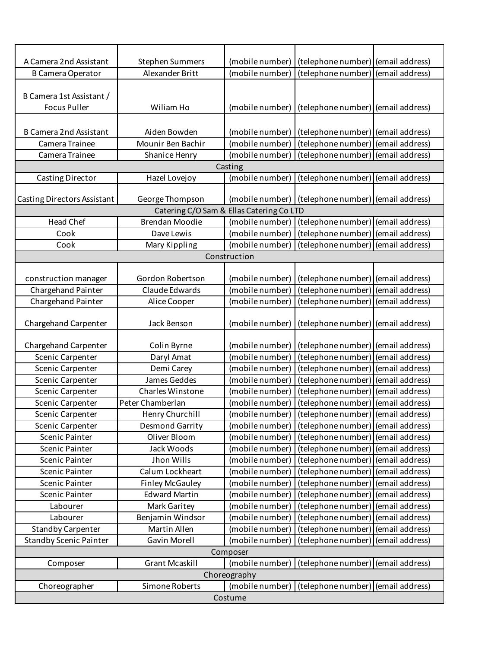| A Camera 2nd Assistant             | <b>Stephen Summers</b>                   | (mobile number) | (telephone number) (email address) |                 |
|------------------------------------|------------------------------------------|-----------------|------------------------------------|-----------------|
| <b>B Camera Operator</b>           | Alexander Britt                          | (mobile number) | (telephone number) (email address) |                 |
|                                    |                                          |                 |                                    |                 |
| B Camera 1st Assistant /           |                                          |                 |                                    |                 |
| <b>Focus Puller</b>                | Wiliam Ho                                | (mobile number) | (telephone number) (email address) |                 |
|                                    |                                          |                 |                                    |                 |
| <b>B Camera 2nd Assistant</b>      | Aiden Bowden                             | (mobile number) | (telephone number) (email address) |                 |
| Camera Trainee                     | Mounir Ben Bachir                        | (mobile number) | (telephone number) (email address) |                 |
| Camera Trainee                     | Shanice Henry                            | (mobile number) | (telephone number) (email address) |                 |
|                                    |                                          | Casting         |                                    |                 |
| <b>Casting Director</b>            | Hazel Lovejoy                            | (mobile number) | (telephone number) (email address) |                 |
|                                    |                                          |                 |                                    |                 |
| <b>Casting Directors Assistant</b> | George Thompson                          | (mobile number) | (telephone number) (email address) |                 |
|                                    | Catering C/O Sam & Ellas Catering Co LTD |                 |                                    |                 |
| Head Chef                          | <b>Brendan Moodie</b>                    | (mobile number) | (telephone number) (email address) |                 |
| Cook                               | Dave Lewis                               | (mobile number) | (telephone number) (email address) |                 |
| Cook                               | Mary Kippling                            | (mobile number) | (telephone number) (email address) |                 |
|                                    |                                          | Construction    |                                    |                 |
|                                    |                                          |                 |                                    |                 |
| construction manager               | Gordon Robertson                         | (mobile number) | (telephone number) (email address) |                 |
| Chargehand Painter                 | Claude Edwards                           | (mobile number) | (telephone number) (email address) |                 |
| Chargehand Painter                 | Alice Cooper                             | (mobile number) | (telephone number) (email address) |                 |
|                                    |                                          |                 |                                    |                 |
| Chargehand Carpenter               | Jack Benson                              | (mobile number) | (telephone number) (email address) |                 |
| Chargehand Carpenter               | Colin Byrne                              | (mobile number) | (telephone number) (email address) |                 |
| Scenic Carpenter                   | Daryl Amat                               | (mobile number) | (telephone number) (email address) |                 |
| Scenic Carpenter                   | Demi Carey                               | (mobile number) | (telephone number)                 | (email address) |
| Scenic Carpenter                   | James Geddes                             | (mobile number) | (telephone number) (email address) |                 |
| Scenic Carpenter                   | <b>Charles Winstone</b>                  | (mobile number) | (telephone number) (email address) |                 |
| Scenic Carpenter                   | Peter Chamberlan                         | (mobile number) | (telephone number) (email address) |                 |
| Scenic Carpenter                   | Henry Churchill                          | (mobile number) | (telephone number) (email address) |                 |
| Scenic Carpenter                   | <b>Desmond Garrity</b>                   | (mobile number) | (telephone number) (email address) |                 |
| Scenic Painter                     | Oliver Bloom                             | (mobile number) | (telephone number) (email address) |                 |
| Scenic Painter                     | Jack Woods                               | (mobile number) | (telephone number) (email address) |                 |
| <b>Scenic Painter</b>              | Jhon Wills                               | (mobile number) | (telephone number) (email address) |                 |
| <b>Scenic Painter</b>              | Calum Lockheart                          | (mobile number) | (telephone number)                 | (email address) |
| <b>Scenic Painter</b>              | <b>Finley McGauley</b>                   | (mobile number) | (telephone number) (email address) |                 |
| Scenic Painter                     | <b>Edward Martin</b>                     | (mobile number) | (telephone number) (email address) |                 |
| Labourer                           | Mark Garitey                             | (mobile number) | (telephone number)                 | (email address) |
| Labourer                           | Benjamin Windsor                         | (mobile number) | (telephone number) (email address) |                 |
| <b>Standby Carpenter</b>           | Martin Allen                             | (mobile number) | (telephone number)                 | (email address) |
| <b>Standby Scenic Painter</b>      | Gavin Morell                             | (mobile number) | (telephone number)                 | (email address) |
|                                    |                                          | Composer        |                                    |                 |
| Composer                           | <b>Grant Mcaskill</b>                    | (mobile number) | (telephone number) (email address) |                 |
| Choreography                       |                                          |                 |                                    |                 |
| Choreographer                      | Simone Roberts                           | (mobile number) | (telephone number) (email address) |                 |
|                                    |                                          | Costume         |                                    |                 |
|                                    |                                          |                 |                                    |                 |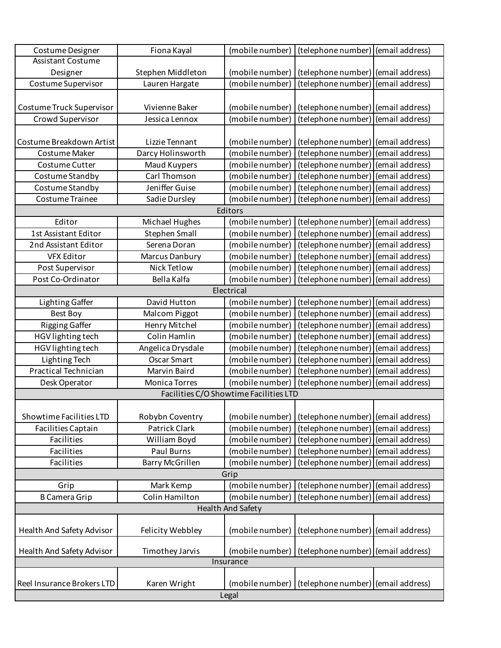| Costume Designer                       | Fiona Kayal            | (mobile number) | (telephone number) (email address) |  |  |
|----------------------------------------|------------------------|-----------------|------------------------------------|--|--|
| <b>Assistant Costume</b>               |                        |                 |                                    |  |  |
| Designer                               | Stephen Middleton      | (mobile number) | (telephone number) (email address) |  |  |
| Costume Supervisor                     | Lauren Hargate         | (mobile number) | (telephone number) (email address) |  |  |
|                                        |                        |                 |                                    |  |  |
| Costume Truck Supervisor               | Vivienne Baker         | (mobile number) | (telephone number) (email address) |  |  |
| Crowd Supervisor                       | Jessica Lennox         | (mobile number) | (telephone number) (email address) |  |  |
|                                        |                        |                 |                                    |  |  |
| Costume Breakdown Artist               | Lizzie Tennant         | (mobile number) | (telephone number) (email address) |  |  |
| Costume Maker                          | Darcy Holinsworth      | (mobile number) | (telephone number) (email address) |  |  |
| Costume Cutter                         | Maud Kuypers           | (mobile number) | (telephone number) (email address) |  |  |
| Costume Standby                        | Carl Thomson           | (mobile number) | (telephone number) (email address) |  |  |
| Costume Standby                        | Jeniffer Guise         | (mobile number) | (telephone number) (email address) |  |  |
| Costume Trainee                        | Sadie Dursley          | (mobile number) | (telephone number) (email address) |  |  |
|                                        |                        | Editors         |                                    |  |  |
| Editor                                 | Michael Hughes         | (mobile number) | (telephone number) (email address) |  |  |
| 1st Assistant Editor                   | <b>Stephen Small</b>   | (mobile number) | (telephone number) (email address) |  |  |
| 2nd Assistant Editor                   | Serena Doran           | (mobile number) | (telephone number) (email address) |  |  |
| <b>VFX Editor</b>                      | Marcus Danbury         | (mobile number) | (telephone number) (email address) |  |  |
| Post Supervisor                        | <b>Nick Tetlow</b>     | (mobile number) | (telephone number) (email address) |  |  |
| Post Co-Ordinator                      | Bella Kalfa            | (mobile number) | (telephone number) (email address) |  |  |
|                                        |                        | Electrical      |                                    |  |  |
| <b>Lighting Gaffer</b>                 | David Hutton           | (mobile number) | (telephone number) (email address) |  |  |
| <b>Best Boy</b>                        | Malcom Piggot          | (mobile number) | (telephone number) (email address) |  |  |
| <b>Rigging Gaffer</b>                  | Henry Mitchel          | (mobile number) | (telephone number) (email address) |  |  |
| HGV lighting tech                      | Colin Hamlin           | (mobile number) | (telephone number) (email address) |  |  |
| HGV lighting tech                      | Angelica Drysdale      | (mobile number) | (telephone number) (email address) |  |  |
| Lighting Tech                          | <b>Oscar Smart</b>     | (mobile number) | (telephone number) (email address) |  |  |
| <b>Practical Technician</b>            | Marvin Baird           | (mobile number) | (telephone number) (email address) |  |  |
| Desk Operator                          | <b>Monica Torres</b>   | (mobile number) | (telephone number) (email address) |  |  |
| Facilities C/O Showtime Facilities LTD |                        |                 |                                    |  |  |
|                                        |                        |                 |                                    |  |  |
| Showtime Facilities LTD                | Robybn Coventry        | (mobile number) | (telephone number) (email address) |  |  |
| <b>Facilities Captain</b>              | Patrick Clark          | (mobile number) | (telephone number) (email address) |  |  |
| Facilities                             | William Boyd           | (mobile number) | (telephone number) (email address) |  |  |
| Facilities                             | <b>Paul Burns</b>      | (mobile number) | (telephone number) (email address) |  |  |
| Facilities                             | <b>Barry McGrillen</b> | (mobile number) | (telephone number) (email address) |  |  |
| Grip                                   |                        |                 |                                    |  |  |
| Grip                                   | Mark Kemp              | (mobile number) | (telephone number) (email address) |  |  |
| <b>B Camera Grip</b>                   | Colin Hamilton         | (mobile number) | (telephone number) (email address) |  |  |
| <b>Health And Safety</b>               |                        |                 |                                    |  |  |
|                                        |                        |                 |                                    |  |  |
| Health And Safety Advisor              | Felicity Webbley       | (mobile number) | (telephone number) (email address) |  |  |
| Health And Safety Advisor              | Timothey Jarvis        | (mobile number) | (telephone number) (email address) |  |  |
| Insurance                              |                        |                 |                                    |  |  |
|                                        |                        |                 |                                    |  |  |
| Reel Insurance Brokers LTD             | Karen Wright           | (mobile number) | (telephone number) (email address) |  |  |
| Legal                                  |                        |                 |                                    |  |  |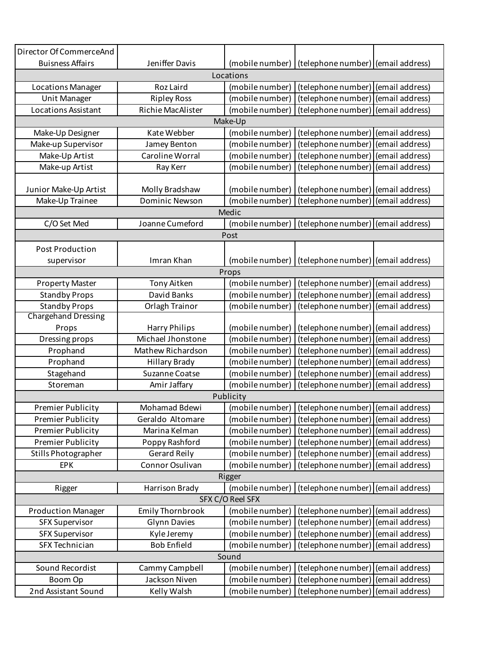| Director Of CommerceAnd    |                         |                 |                                                    |                 |
|----------------------------|-------------------------|-----------------|----------------------------------------------------|-----------------|
| <b>Buisness Affairs</b>    | Jeniffer Davis          | (mobile number) | (telephone number) (email address)                 |                 |
|                            |                         | Locations       |                                                    |                 |
| Locations Manager          | Roz Laird               | (mobile number) | (telephone number) (email address)                 |                 |
| Unit Manager               | <b>Ripley Ross</b>      | (mobile number) | (telephone number) (email address)                 |                 |
| <b>Locations Assistant</b> | Richie MacAlister       | (mobile number) | (telephone number) (email address)                 |                 |
|                            |                         | Make-Up         |                                                    |                 |
| Make-Up Designer           | Kate Webber             | (mobile number) | (telephone number) (email address)                 |                 |
| Make-up Supervisor         | Jamey Benton            | (mobile number) | (telephone number) (email address)                 |                 |
| Make-Up Artist             | Caroline Worral         | (mobile number) | (telephone number) (email address)                 |                 |
| Make-up Artist             | Ray Kerr                | (mobile number) | (telephone number) (email address)                 |                 |
|                            |                         |                 |                                                    |                 |
| Junior Make-Up Artist      | Molly Bradshaw          | (mobile number) | (telephone number) (email address)                 |                 |
| Make-Up Trainee            | Dominic Newson          | (mobile number) | (telephone number) (email address)                 |                 |
|                            |                         | Medic           |                                                    |                 |
| C/O Set Med                | Joanne Cumeford         | (mobile number) | (telephone number) (email address)                 |                 |
|                            |                         | Post            |                                                    |                 |
| <b>Post Production</b>     |                         |                 |                                                    |                 |
| supervisor                 | Imran Khan              | (mobile number) | (telephone number) (email address)                 |                 |
|                            |                         | Props           |                                                    |                 |
| <b>Property Master</b>     | Tony Aitken             | (mobile number) | (telephone number) (email address)                 |                 |
| <b>Standby Props</b>       | David Banks             | (mobile number) | (telephone number) (email address)                 |                 |
| <b>Standby Props</b>       | Orlagh Trainor          | (mobile number) | (telephone number) (email address)                 |                 |
| <b>Chargehand Dressing</b> |                         |                 |                                                    |                 |
| Props                      | <b>Harry Philips</b>    | (mobile number) | (telephone number) (email address)                 |                 |
| Dressing props             | Michael Jhonstone       | (mobile number) | (telephone number) (email address)                 |                 |
| Prophand                   | Mathew Richardson       | (mobile number) | (telephone number) (email address)                 |                 |
| Prophand                   | <b>Hillary Brady</b>    | (mobile number) | (telephone number) (email address)                 |                 |
| Stagehand                  | Suzanne Coatse          | (mobile number) | (telephone number) (email address)                 |                 |
| Storeman                   | Amir Jaffary            | (mobile number) | (telephone number) (email address)                 |                 |
|                            |                         | Publicity       |                                                    |                 |
| Premier Publicity          | Mohamad Bdewi           |                 | (mobile number) (telephone number) (email address) |                 |
| <b>Premier Publicity</b>   | Geraldo Altomare        | (mobile number) | (telephone number) (email address)                 |                 |
| <b>Premier Publicity</b>   | Marina Kelman           | (mobile number) | (telephone number) (email address)                 |                 |
| Premier Publicity          | Poppy Rashford          | (mobile number) | (telephone number) (email address)                 |                 |
| Stills Photographer        | Gerard Reily            | (mobile number) | (telephone number) (email address)                 |                 |
| <b>EPK</b>                 | Connor Osulivan         | (mobile number) | (telephone number)                                 | (email address) |
|                            |                         | Rigger          |                                                    |                 |
| Rigger                     | Harrison Brady          | (mobile number) | (telephone number) (email address)                 |                 |
| SFX C/O Reel SFX           |                         |                 |                                                    |                 |
| <b>Production Manager</b>  | <b>Emily Thornbrook</b> | (mobile number) | (telephone number) (email address)                 |                 |
| <b>SFX Supervisor</b>      | <b>Glynn Davies</b>     | (mobile number) | (telephone number) (email address)                 |                 |
| <b>SFX Supervisor</b>      | Kyle Jeremy             | (mobile number) | (telephone number) (email address)                 |                 |
| <b>SFX Technician</b>      | <b>Bob Enfield</b>      | (mobile number) | (telephone number) (email address)                 |                 |
| Sound                      |                         |                 |                                                    |                 |
| Sound Recordist            | Cammy Campbell          | (mobile number) | (telephone number) (email address)                 |                 |
| Boom Op                    | Jackson Niven           | (mobile number) | (telephone number) (email address)                 |                 |
| 2nd Assistant Sound        | Kelly Walsh             | (mobile number) | (telephone number) (email address)                 |                 |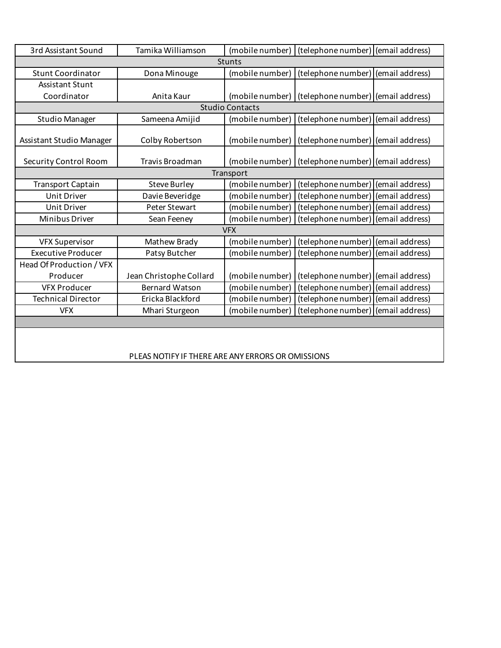| 3rd Assistant Sound                               | Tamika Williamson       |                        | (mobile number)   (telephone number)   (email address) |  |  |
|---------------------------------------------------|-------------------------|------------------------|--------------------------------------------------------|--|--|
| Stunts                                            |                         |                        |                                                        |  |  |
| <b>Stunt Coordinator</b>                          | Dona Minouge            | (mobile number)        | (telephone number) (email address)                     |  |  |
| <b>Assistant Stunt</b>                            |                         |                        |                                                        |  |  |
| Coordinator                                       | Anita Kaur              |                        | (mobile number)   (telephone number)   (email address) |  |  |
|                                                   |                         | <b>Studio Contacts</b> |                                                        |  |  |
| <b>Studio Manager</b>                             | Sameena Amijid          | (mobile number)        | (telephone number) (email address)                     |  |  |
| Assistant Studio Manager                          | Colby Robertson         | (mobile number)        | (telephone number) (email address)                     |  |  |
| <b>Security Control Room</b>                      | Travis Broadman         |                        | (mobile number)   (telephone number)   (email address) |  |  |
|                                                   |                         | Transport              |                                                        |  |  |
| <b>Transport Captain</b>                          | <b>Steve Burley</b>     | (mobile number)        | (telephone number) (email address)                     |  |  |
| Unit Driver                                       | Davie Beveridge         | (mobile number)        | (telephone number) (email address)                     |  |  |
| <b>Unit Driver</b>                                | <b>Peter Stewart</b>    | (mobile number)        | (telephone number) (email address)                     |  |  |
| Minibus Driver                                    | Sean Feeney             | (mobile number)        | (telephone number) (email address)                     |  |  |
|                                                   |                         | <b>VFX</b>             |                                                        |  |  |
| <b>VFX Supervisor</b>                             | Mathew Brady            | (mobile number)        | (telephone number) (email address)                     |  |  |
| <b>Executive Producer</b>                         | Patsy Butcher           | (mobile number)        | (telephone number) (email address)                     |  |  |
| Head Of Production / VFX                          |                         |                        |                                                        |  |  |
| Producer                                          | Jean Christophe Collard | (mobile number)        | (telephone number) (email address)                     |  |  |
| <b>VFX Producer</b>                               | <b>Bernard Watson</b>   | (mobile number)        | (telephone number) (email address)                     |  |  |
| <b>Technical Director</b>                         | Ericka Blackford        | (mobile number)        | (telephone number) (email address)                     |  |  |
| <b>VFX</b>                                        | Mhari Sturgeon          | (mobile number)        | (telephone number) (email address)                     |  |  |
|                                                   |                         |                        |                                                        |  |  |
| PLEAS NOTIFY IF THERE ARE ANY ERRORS OR OMISSIONS |                         |                        |                                                        |  |  |